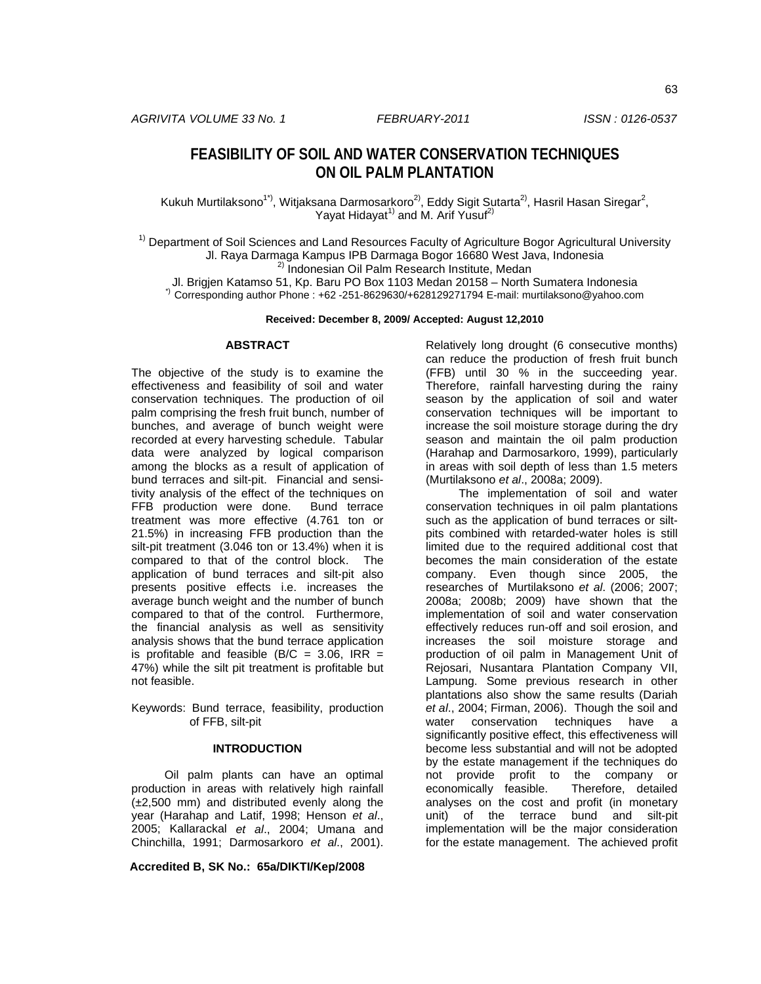# **FEASIBILITY OF SOIL AND WATER CONSERVATION TECHNIQUES ON OIL PALM PLANTATION**

Kukuh Murtilaksono<sup>1\*)</sup>, Witjaksana Darmosarkoro<sup>2)</sup>, Eddy Sigit Sutarta<sup>2)</sup>, Hasril Hasan Siregar<sup>2</sup>, Yayat Hidayat<sup>1)</sup> and M. Arif Yusuf<sup>2)</sup>

<sup>1)</sup> Department of Soil Sciences and Land Resources Faculty of Agriculture Bogor Agricultural University Jl. Raya Darmaga Kampus IPB Darmaga Bogor 16680 West Java, Indonesia 2) Indonesian Oil Palm Research Institute, Medan

Jl. Brigjen Katamso 51, Kp. Baru PO Box 1103 Medan 20158 – North Sumatera Indonesia \*) Corresponding author Phone : +62 -251-8629630/+628129271794 E-mail: murtilaksono@yahoo.com

**Received: December 8, 2009/ Accepted: August 12,2010**

#### **ABSTRACT**

The objective of the study is to examine the effectiveness and feasibility of soil and water conservation techniques. The production of oil palm comprising the fresh fruit bunch, number of bunches, and average of bunch weight were recorded at every harvesting schedule. Tabular data were analyzed by logical comparison among the blocks as a result of application of bund terraces and silt-pit. Financial and sensitivity analysis of the effect of the techniques on FFB production were done. Bund terrace treatment was more effective (4.761 ton or 21.5%) in increasing FFB production than the silt-pit treatment (3.046 ton or 13.4%) when it is compared to that of the control block. The application of bund terraces and silt-pit also presents positive effects i.e. increases the average bunch weight and the number of bunch compared to that of the control. Furthermore, the financial analysis as well as sensitivity analysis shows that the bund terrace application is profitable and feasible (B/C =  $3.06$ , IRR = 47%) while the silt pit treatment is profitable but not feasible.

Keywords: Bund terrace, feasibility, production of FFB, silt-pit

# **INTRODUCTION**

Oil palm plants can have an optimal production in areas with relatively high rainfall  $(\pm 2,500 \text{ mm})$  and distributed evenly along the year (Harahap and Latif, 1998; Henson *et al*., 2005; Kallarackal *et al*., 2004; Umana and Chinchilla, 1991; Darmosarkoro *et al*., 2001).

**Accredited B, SK No.: 65a/DIKTI/Kep/2008**

Relatively long drought (6 consecutive months) can reduce the production of fresh fruit bunch (FFB) until 30 % in the succeeding year. Therefore, rainfall harvesting during the rainy season by the application of soil and water conservation techniques will be important to increase the soil moisture storage during the dry season and maintain the oil palm production (Harahap and Darmosarkoro, 1999), particularly in areas with soil depth of less than 1.5 meters (Murtilaksono *et al*., 2008a; 2009).

The implementation of soil and water conservation techniques in oil palm plantations such as the application of bund terraces or siltpits combined with retarded-water holes is still limited due to the required additional cost that becomes the main consideration of the estate company. Even though since 2005, the researches of Murtilaksono *et al*. (2006; 2007; 2008a; 2008b; 2009) have shown that the implementation of soil and water conservation effectively reduces run-off and soil erosion, and increases the soil moisture storage and production of oil palm in Management Unit of Rejosari, Nusantara Plantation Company VII, Lampung. Some previous research in other plantations also show the same results (Dariah *et al*., 2004; Firman, 2006). Though the soil and water conservation techniques have a significantly positive effect, this effectiveness will become less substantial and will not be adopted by the estate management if the techniques do not provide profit to the company or<br>economically feasible. Therefore, detailed economically feasible. analyses on the cost and profit (in monetary unit) of the terrace bund and silt-pit implementation will be the major consideration for the estate management. The achieved profit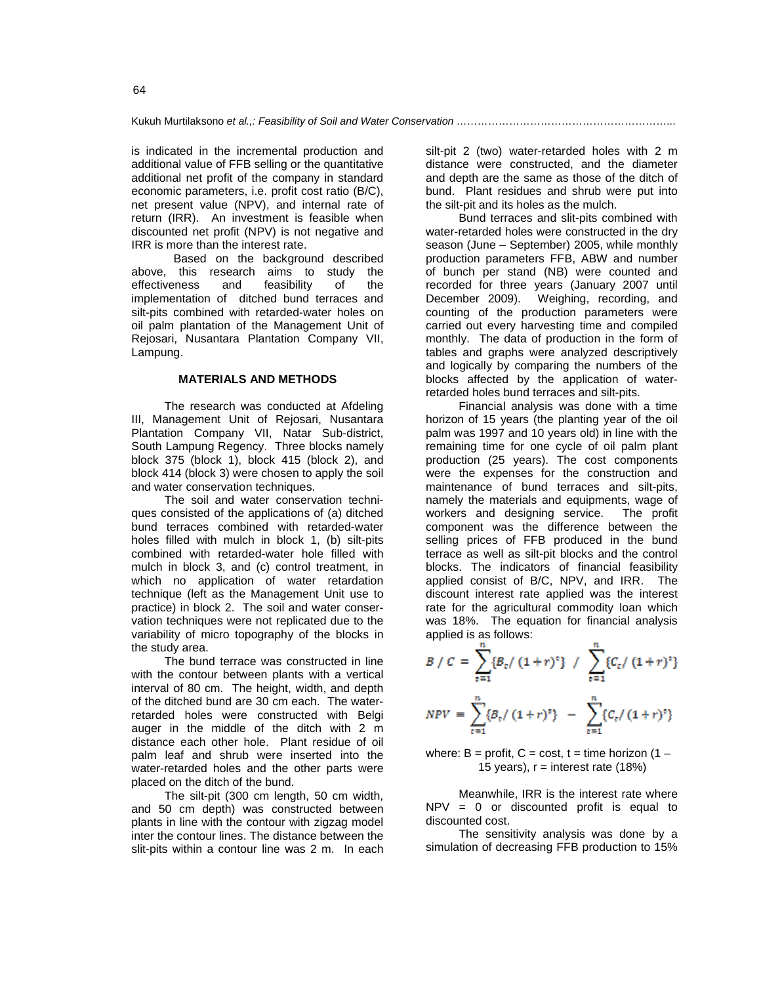Kukuh Murtilaksono *et al.,: Feasibility of Soil and Water Conservation* ……………………………………………………...

is indicated in the incremental production and additional value of FFB selling or the quantitative additional net profit of the company in standard economic parameters, i.e. profit cost ratio (B/C), net present value (NPV), and internal rate of return (IRR). An investment is feasible when discounted net profit (NPV) is not negative and IRR is more than the interest rate.

Based on the background described above, this research aims to study the effectiveness and feasibility of the implementation of ditched bund terraces and silt-pits combined with retarded-water holes on oil palm plantation of the Management Unit of Rejosari, Nusantara Plantation Company VII, Lampung.

# **MATERIALS AND METHODS**

The research was conducted at Afdeling III, Management Unit of Rejosari, Nusantara Plantation Company VII, Natar Sub-district, South Lampung Regency. Three blocks namely block 375 (block 1), block 415 (block 2), and block 414 (block 3) were chosen to apply the soil and water conservation techniques.

The soil and water conservation techniques consisted of the applications of (a) ditched bund terraces combined with retarded-water holes filled with mulch in block 1, (b) silt-pits combined with retarded-water hole filled with mulch in block 3, and (c) control treatment, in which no application of water retardation technique (left as the Management Unit use to practice) in block 2. The soil and water conservation techniques were not replicated due to the variability of micro topography of the blocks in the study area.

The bund terrace was constructed in line with the contour between plants with a vertical interval of 80 cm. The height, width, and depth of the ditched bund are 30 cm each. The waterretarded holes were constructed with Belgi auger in the middle of the ditch with 2 m distance each other hole. Plant residue of oil palm leaf and shrub were inserted into the water-retarded holes and the other parts were placed on the ditch of the bund.

The silt-pit (300 cm length, 50 cm width, and 50 cm depth) was constructed between plants in line with the contour with zigzag model inter the contour lines. The distance between the slit-pits within a contour line was 2 m. In each silt-pit 2 (two) water-retarded holes with 2 m distance were constructed, and the diameter and depth are the same as those of the ditch of bund. Plant residues and shrub were put into the silt-pit and its holes as the mulch.

Bund terraces and slit-pits combined with water-retarded holes were constructed in the dry season (June – September) 2005, while monthly production parameters FFB, ABW and number of bunch per stand (NB) were counted and recorded for three years (January 2007 until December 2009). Weighing, recording, and counting of the production parameters were carried out every harvesting time and compiled monthly. The data of production in the form of tables and graphs were analyzed descriptively and logically by comparing the numbers of the blocks affected by the application of waterretarded holes bund terraces and silt-pits.

Financial analysis was done with a time horizon of 15 years (the planting year of the oil palm was 1997 and 10 years old) in line with the remaining time for one cycle of oil palm plant production (25 years). The cost components were the expenses for the construction and maintenance of bund terraces and silt-pits, namely the materials and equipments, wage of workers and designing service. The profit component was the difference between the selling prices of FFB produced in the bund terrace as well as silt-pit blocks and the control blocks. The indicators of financial feasibility applied consist of B/C, NPV, and IRR. The discount interest rate applied was the interest rate for the agricultural commodity loan which was 18%. The equation for financial analysis applied is as follows:

$$
B / C = \sum_{t=1}^{n} \{B_t / (1+r)^{\epsilon}\} / \sum_{t=1}^{n} \{C_t / (1+r)^{\epsilon}\}
$$
  
\n
$$
NPV = \sum_{t=1}^{n} \{B_t / (1+r)^{\epsilon}\} - \sum_{t=1}^{n} \{C_t / (1+r)^{\epsilon}\}
$$

where:  $B =$  profit,  $C =$  cost,  $t =$  time horizon (1 – 15 years),  $r =$  interest rate (18%)

Meanwhile, IRR is the interest rate where NPV = 0 or discounted profit is equal to discounted cost.

The sensitivity analysis was done by a simulation of decreasing FFB production to 15%

64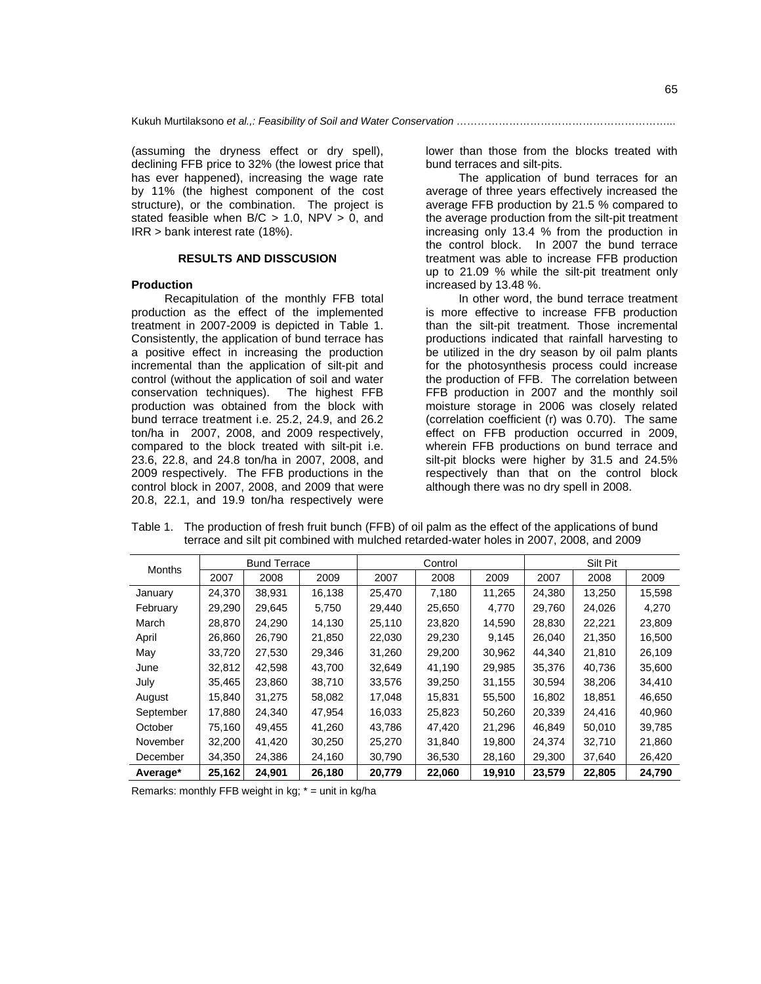(assuming the dryness effect or dry spell), declining FFB price to 32% (the lowest price that has ever happened), increasing the wage rate by 11% (the highest component of the cost structure), or the combination. The project is stated feasible when  $B/C > 1.0$ , NPV  $> 0$ , and IRR > bank interest rate (18%).

## **RESULTS AND DISSCUSION**

#### **Production**

Recapitulation of the monthly FFB total production as the effect of the implemented treatment in 2007-2009 is depicted in Table 1. Consistently, the application of bund terrace has a positive effect in increasing the production incremental than the application of silt-pit and control (without the application of soil and water conservation techniques). The highest FFB production was obtained from the block with bund terrace treatment i.e. 25.2, 24.9, and 26.2 ton/ha in 2007, 2008, and 2009 respectively, compared to the block treated with silt-pit i.e. 23.6, 22.8, and 24.8 ton/ha in 2007, 2008, and 2009 respectively. The FFB productions in the control block in 2007, 2008, and 2009 that were 20.8, 22.1, and 19.9 ton/ha respectively were

lower than those from the blocks treated with bund terraces and silt-pits.

The application of bund terraces for an average of three years effectively increased the average FFB production by 21.5 % compared to the average production from the silt-pit treatment increasing only 13.4 % from the production in the control block. In 2007 the bund terrace treatment was able to increase FFB production up to 21.09 % while the silt-pit treatment only increased by 13.48 %.

In other word, the bund terrace treatment is more effective to increase FFB production than the silt-pit treatment. Those incremental productions indicated that rainfall harvesting to be utilized in the dry season by oil palm plants for the photosynthesis process could increase the production of FFB. The correlation between FFB production in 2007 and the monthly soil moisture storage in 2006 was closely related (correlation coefficient (r) was 0.70). The same effect on FFB production occurred in 2009, wherein FFB productions on bund terrace and silt-pit blocks were higher by 31.5 and 24.5% respectively than that on the control block although there was no dry spell in 2008.

| <b>Months</b> | <b>Bund Terrace</b> |        |        |        | Control |        | Silt Pit |        |        |  |
|---------------|---------------------|--------|--------|--------|---------|--------|----------|--------|--------|--|
|               | 2007                | 2008   | 2009   | 2007   | 2008    | 2009   | 2007     | 2008   | 2009   |  |
| January       | 24.370              | 38,931 | 16,138 | 25,470 | 7,180   | 11.265 | 24,380   | 13,250 | 15,598 |  |
| February      | 29.290              | 29,645 | 5,750  | 29,440 | 25,650  | 4,770  | 29.760   | 24,026 | 4,270  |  |
| March         | 28.870              | 24.290 | 14,130 | 25,110 | 23,820  | 14,590 | 28,830   | 22,221 | 23,809 |  |
| April         | 26,860              | 26,790 | 21,850 | 22,030 | 29,230  | 9,145  | 26,040   | 21,350 | 16,500 |  |
| May           | 33,720              | 27,530 | 29,346 | 31,260 | 29,200  | 30,962 | 44.340   | 21,810 | 26,109 |  |
| June          | 32,812              | 42,598 | 43,700 | 32,649 | 41,190  | 29,985 | 35,376   | 40,736 | 35,600 |  |
| July          | 35,465              | 23,860 | 38,710 | 33,576 | 39,250  | 31,155 | 30,594   | 38,206 | 34,410 |  |
| August        | 15,840              | 31,275 | 58,082 | 17,048 | 15,831  | 55,500 | 16,802   | 18,851 | 46,650 |  |
| September     | 17.880              | 24,340 | 47,954 | 16,033 | 25,823  | 50,260 | 20,339   | 24,416 | 40,960 |  |
| October       | 75,160              | 49,455 | 41,260 | 43,786 | 47,420  | 21,296 | 46,849   | 50,010 | 39,785 |  |
| November      | 32,200              | 41.420 | 30.250 | 25,270 | 31,840  | 19.800 | 24,374   | 32,710 | 21,860 |  |
| December      | 34,350              | 24,386 | 24,160 | 30,790 | 36,530  | 28,160 | 29,300   | 37,640 | 26,420 |  |
| Average*      | 25,162              | 24,901 | 26,180 | 20,779 | 22,060  | 19,910 | 23,579   | 22,805 | 24,790 |  |

Table 1. The production of fresh fruit bunch (FFB) of oil palm as the effect of the applications of bund terrace and silt pit combined with mulched retarded-water holes in 2007, 2008, and 2009

Remarks: monthly FFB weight in kg;  $* =$  unit in kg/ha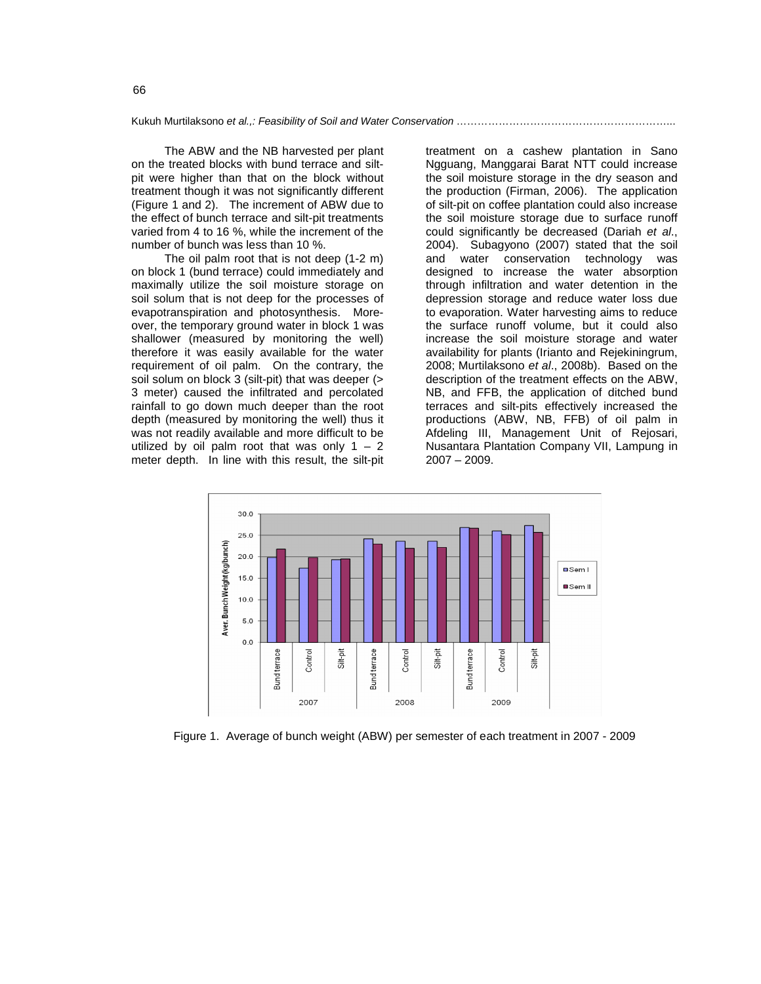Kukuh Murtilaksono *et al.,: Feasibility of Soil and Water Conservation* ……………………………………………………...

The ABW and the NB harvested per plant on the treated blocks with bund terrace and siltpit were higher than that on the block without treatment though it was not significantly different (Figure 1 and 2). The increment of ABW due to the effect of bunch terrace and silt-pit treatments varied from 4 to 16 %, while the increment of the number of bunch was less than 10 %.

The oil palm root that is not deep (1-2 m) on block 1 (bund terrace) could immediately and maximally utilize the soil moisture storage on soil solum that is not deep for the processes of evapotranspiration and photosynthesis. Moreover, the temporary ground water in block 1 was shallower (measured by monitoring the well) therefore it was easily available for the water requirement of oil palm. On the contrary, the soil solum on block 3 (silt-pit) that was deeper (> 3 meter) caused the infiltrated and percolated rainfall to go down much deeper than the root depth (measured by monitoring the well) thus it was not readily available and more difficult to be utilized by oil palm root that was only  $1 - 2$ meter depth. In line with this result, the silt-pit

treatment on a cashew plantation in Sano Ngguang, Manggarai Barat NTT could increase the soil moisture storage in the dry season and the production (Firman, 2006). The application of silt-pit on coffee plantation could also increase the soil moisture storage due to surface runoff could significantly be decreased (Dariah *et al*., 2004). Subagyono (2007) stated that the soil and water conservation technology was designed to increase the water absorption through infiltration and water detention in the depression storage and reduce water loss due to evaporation. Water harvesting aims to reduce the surface runoff volume, but it could also increase the soil moisture storage and water availability for plants (Irianto and Rejekiningrum, 2008; Murtilaksono *et al*., 2008b). Based on the description of the treatment effects on the ABW, NB, and FFB, the application of ditched bund terraces and silt-pits effectively increased the productions (ABW, NB, FFB) of oil palm in Afdeling III, Management Unit of Rejosari, Nusantara Plantation Company VII, Lampung in 2007 – 2009.



Figure 1. Average of bunch weight (ABW) per semester of each treatment in 2007 - 2009

66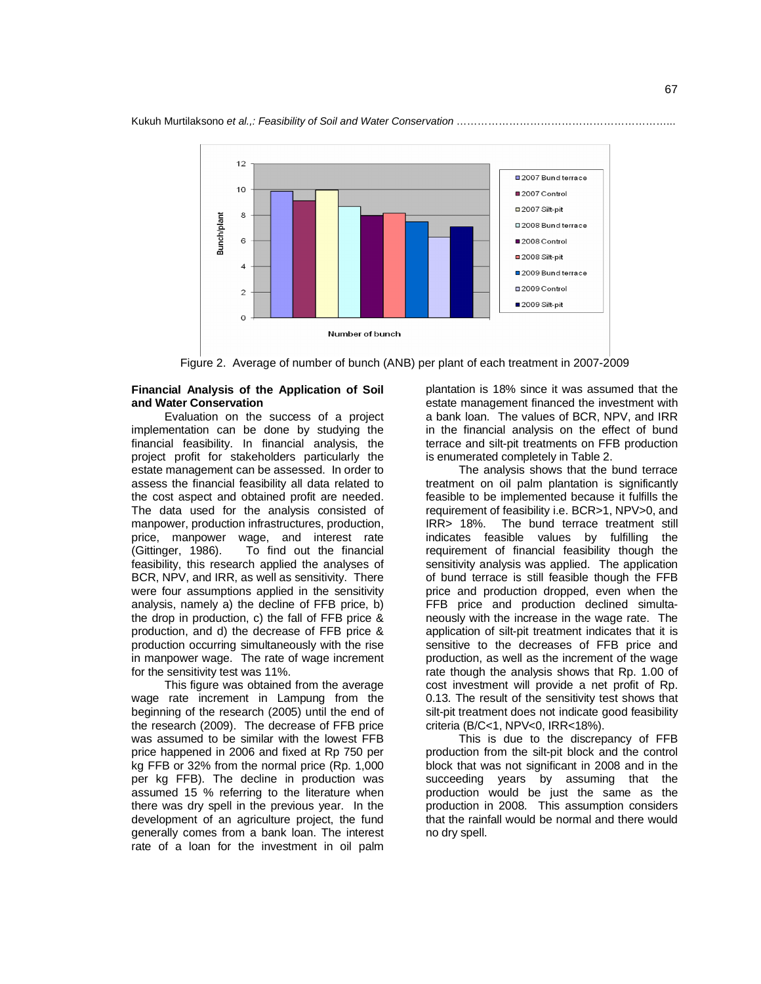

Figure 2. Average of number of bunch (ANB) per plant of each treatment in 2007-2009

# **Financial Analysis of the Application of Soil and Water Conservation**

Evaluation on the success of a project implementation can be done by studying the financial feasibility. In financial analysis, the project profit for stakeholders particularly the estate management can be assessed. In order to assess the financial feasibility all data related to the cost aspect and obtained profit are needed. The data used for the analysis consisted of manpower, production infrastructures, production, price, manpower wage, and interest rate (Gittinger, 1986). To find out the financial feasibility, this research applied the analyses of BCR, NPV, and IRR, as well as sensitivity. There were four assumptions applied in the sensitivity analysis, namely a) the decline of FFB price, b) the drop in production, c) the fall of FFB price & production, and d) the decrease of FFB price & production occurring simultaneously with the rise in manpower wage. The rate of wage increment for the sensitivity test was 11%.

This figure was obtained from the average wage rate increment in Lampung from the beginning of the research (2005) until the end of the research (2009). The decrease of FFB price was assumed to be similar with the lowest FFB price happened in 2006 and fixed at Rp 750 per kg FFB or 32% from the normal price (Rp. 1,000 per kg FFB). The decline in production was assumed 15 % referring to the literature when there was dry spell in the previous year. In the development of an agriculture project, the fund generally comes from a bank loan. The interest rate of a loan for the investment in oil palm

plantation is 18% since it was assumed that the estate management financed the investment with a bank loan. The values of BCR, NPV, and IRR in the financial analysis on the effect of bund terrace and silt-pit treatments on FFB production is enumerated completely in Table 2.

The analysis shows that the bund terrace treatment on oil palm plantation is significantly feasible to be implemented because it fulfills the requirement of feasibility i.e. BCR>1, NPV>0, and IRR> 18%. The bund terrace treatment still indicates feasible values by fulfilling the requirement of financial feasibility though the sensitivity analysis was applied. The application of bund terrace is still feasible though the FFB price and production dropped, even when the FFB price and production declined simultaneously with the increase in the wage rate. The application of silt-pit treatment indicates that it is sensitive to the decreases of FFB price and production, as well as the increment of the wage rate though the analysis shows that Rp. 1.00 of cost investment will provide a net profit of Rp. 0.13. The result of the sensitivity test shows that silt-pit treatment does not indicate good feasibility criteria (B/C<1, NPV<0, IRR<18%).

This is due to the discrepancy of FFB production from the silt-pit block and the control block that was not significant in 2008 and in the succeeding years by assuming that the production would be just the same as the production in 2008. This assumption considers that the rainfall would be normal and there would no dry spell.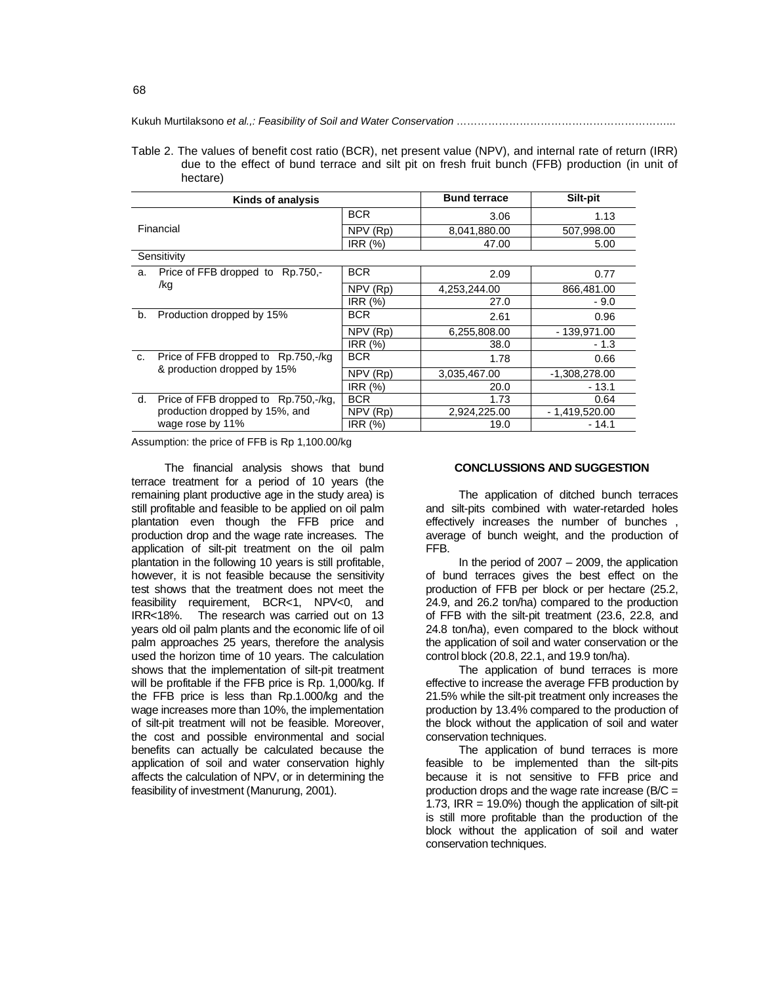Kukuh Murtilaksono *et al.,: Feasibility of Soil and Water Conservation* ……………………………………………………...

| Table 2. The values of benefit cost ratio (BCR), net present value (NPV), and internal rate of return (IRR) |  |  |  |  |  |  |
|-------------------------------------------------------------------------------------------------------------|--|--|--|--|--|--|
| due to the effect of bund terrace and silt pit on fresh fruit bunch (FFB) production (in unit of            |  |  |  |  |  |  |
| hectare)                                                                                                    |  |  |  |  |  |  |

|             | Kinds of analysis                    | <b>Bund terrace</b>          | Silt-pit     |                 |  |  |  |  |
|-------------|--------------------------------------|------------------------------|--------------|-----------------|--|--|--|--|
|             |                                      | <b>BCR</b>                   | 3.06         | 1.13            |  |  |  |  |
|             | Financial                            | NPV (Rp)                     | 8,041,880.00 | 507,998.00      |  |  |  |  |
|             |                                      | IRR (%)                      | 47.00        | 5.00            |  |  |  |  |
| Sensitivity |                                      |                              |              |                 |  |  |  |  |
| a.          | Price of FFB dropped to Rp.750,-     | <b>BCR</b>                   | 2.09         | 0.77            |  |  |  |  |
|             | /kg                                  | NPV (Rp)                     | 4,253,244.00 | 866,481.00      |  |  |  |  |
|             |                                      | IRR (%)                      | 27.0         | $-9.0$          |  |  |  |  |
| b.          | Production dropped by 15%            | <b>BCR</b>                   | 2.61         | 0.96            |  |  |  |  |
|             |                                      | $\overline{\text{NPV}}$ (Rp) | 6,255,808.00 | - 139,971.00    |  |  |  |  |
|             |                                      | IRR (%)                      | 38.0         | $-1.3$          |  |  |  |  |
| C.          | Price of FFB dropped to Rp.750,-/kg  | <b>BCR</b>                   | 1.78         | 0.66            |  |  |  |  |
|             | & production dropped by 15%          | NPV (Rp)                     | 3,035,467.00 | -1,308,278.00   |  |  |  |  |
|             |                                      | IRR (%)                      | 20.0         | $-13.1$         |  |  |  |  |
| d.          | Price of FFB dropped to Rp.750,-/kg, | <b>BCR</b>                   | 1.73         | 0.64            |  |  |  |  |
|             | production dropped by 15%, and       | NPV (Rp)                     | 2,924,225.00 | $-1,419,520.00$ |  |  |  |  |
|             | wage rose by 11%                     | IRR $(%)$                    | 19.0         | $-14.1$         |  |  |  |  |

Assumption: the price of FFB is Rp 1,100.00/kg

The financial analysis shows that bund terrace treatment for a period of 10 years (the remaining plant productive age in the study area) is still profitable and feasible to be applied on oil palm plantation even though the FFB price and production drop and the wage rate increases. The application of silt-pit treatment on the oil palm plantation in the following 10 years is still profitable, however, it is not feasible because the sensitivity test shows that the treatment does not meet the feasibility requirement, BCR<1, NPV<0, and IRR<18%. The research was carried out on 13 years old oil palm plants and the economic life of oil palm approaches 25 years, therefore the analysis used the horizon time of 10 years. The calculation shows that the implementation of silt-pit treatment will be profitable if the FFB price is Rp. 1,000/kg. If the FFB price is less than Rp.1.000/kg and the wage increases more than 10%, the implementation of silt-pit treatment will not be feasible. Moreover, the cost and possible environmental and social benefits can actually be calculated because the application of soil and water conservation highly affects the calculation of NPV, or in determining the feasibility of investment (Manurung, 2001).

#### **CONCLUSSIONS AND SUGGESTION**

The application of ditched bunch terraces and silt-pits combined with water-retarded holes effectively increases the number of bunches average of bunch weight, and the production of FFB.

In the period of  $2007 - 2009$ , the application of bund terraces gives the best effect on the production of FFB per block or per hectare (25.2, 24.9, and 26.2 ton/ha) compared to the production of FFB with the silt-pit treatment (23.6, 22.8, and 24.8 ton/ha), even compared to the block without the application of soil and water conservation or the control block (20.8, 22.1, and 19.9 ton/ha).

The application of bund terraces is more effective to increase the average FFB production by 21.5% while the silt-pit treatment only increases the production by 13.4% compared to the production of the block without the application of soil and water conservation techniques.

The application of bund terraces is more feasible to be implemented than the silt-pits because it is not sensitive to FFB price and production drops and the wage rate increase ( $B/C =$ 1.73,  $IRR = 19.0\%$ ) though the application of silt-pit is still more profitable than the production of the block without the application of soil and water conservation techniques.